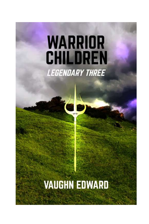# **WARRIOR CHILDREN LEGENDARY THREE**

## **VAUGHN EDWARD**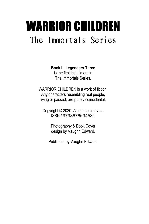### WARRIOR CHILDREN The Immortals Series

**Book I: Legendary Three**

is the first installment in The Immortals Series.

WARRIOR CHILDREN is a work of fiction. Any characters resembling real people, living or passed, are purely coincidental.

Copyright © 2020. All rights reserved. ISBN #9798676694531

> Photography & Book Cover design by Vaughn Edward.

Published by Vaughn Edward.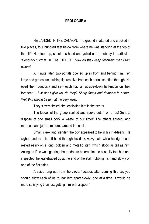#### **PROLOGUE A**

HE LANDED IN THE CANYON. The ground shattered and cracked in five places, four hundred feet below from where he was standing at the top of the cliff. He stood up, shook his head and yelled out to nobody in particular. "Seriously?! What. In. The. HELL?!" *How do they keep following me? From where?*

A minute later, two portals opened up in front and behind him. Ten large and grotesque, hulking figures, five from each portal, shuffled through. He eyed them curiously and saw each had an upside-down half-moon on their forehead. *Just don't give up, do they? Sharp fangs and demonic in nature. Well this should be fun, at the very least.*

They slowly circled him, enclosing him in the center.

The leader of the group scoffed and spoke out. "Ten of us! Sent to dispose of one small boy? A waste of our time!" The others agreed, and murmurs and jeers simmered around the circle.

Small, sleek and slender, the boy appeared to be in his mid-teens. He sighed and ran his left hand through his dark, wavy hair, while his right hand rested easily on a long, golden and metallic staff, which stood as tall as him. Acting as if he was ignoring the predators before him, he casually touched and inspected the leaf-shaped tip at the end of the staff, rubbing his hand slowly on one of the flat sides.

A voice rang out from the circle. "Leader, after coming this far, you should allow each of us to tear him apart slowly, one at a time. It would be more satisfying than just gutting him with a spear."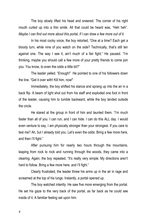The boy slowly lifted his head and sneered. The corner of his right mouth curled up into a thin smile. All that could be heard was, "Heh heh". *Maybe I can find out more about this portal, if I can draw a few more out of it.*

In his most cocky voice, the boy retorted, "One at a time? Each get a bloody turn, while nine of you watch on the side? Technically, that's still ten against one. The way I see it, ain't much of a fair fight." He paused. "I'm thinking, maybe you should call a few more of your pretty friends to come join you. You know, to even the odds a little bit?"

The leader yelled. "Enough!" He pointed to one of his followers down the line. "Get it over with! Kill him, now!"

Immediately, the boy shifted his stance and sprang up into the air in a back flip. A beam of light shot out from his staff and exploded one foot in front of the leader, causing him to tumble backward, while the boy landed outside the circle.

He stared at the group in front of him and taunted them. "I'm much faster than all of you. I can run, and I can hide. I can do this ALL day. I would even venture to say, I am physically stronger than your strongest. If you care to test me? Ah, but I already told you. Let's even the odds. Bring a few more here, and then I'll fight."

After pursuing him for nearly two hours through the mountains, leaping from rock to rock and running through the woods, they came into a clearing. Again, the boy repeated, "It's really very simple. My directions aren't hard to follow. Bring a few more here, and I'll fight."

Clearly frustrated, the leader threw his arms up in the air in rage and screamed at the top of his lungs. Instantly, a portal opened up.

The boy watched intently. He saw five more emerging from the portal. He set his gaze to the very back of the portal, as far back as he could see inside of it. A familiar feeling set upon him.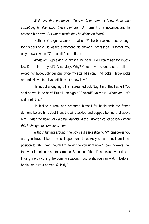*Well ain't that interesting. They're from home. I knew there was something familiar about these yayhoos.* A moment of annoyance, and he creased his brow. *But where would they be hiding on Mars?*

"Father? You gonna answer that one?" the boy asked, loud enough for his ears only. He waited a moment. No answer. *Right then.* "I forgot. You only answer when YOU see fit," he muttered.

*Whatever.* Speaking to himself, he said, "Do I really ask for much? No. Do I talk to myself? Absolutely. Why? Cause I've no one else to talk to, except for huge, ugly demons twice my size. Mission. Find rocks. Throw rocks around. Holy bitch. I've definitely hit a new low."

He let out a long sigh, then screamed out. "Eight months, Father! You said he would be here! But still no sign of Edward!" No reply. "Whatever. Let's just finish this."

He kicked a rock and prepared himself for battle with the fifteen demons before him. Just then, the air crackled and popped behind and above him. *What the hell? Only a small handful in the universe could possibly know this technique of communication.*

Without turning around, the boy said sarcastically, "Whomsoever you are, you have picked a most inopportune time. As you can see, I am in no position to talk. Even though I'm, talking to you right now? I can, however, tell that your intention is not to harm me. Because of that, I'll not waste your time in finding me by cutting the communication. If you wish, you can watch. Before I begin, state your names. Quickly."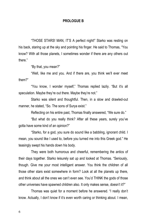#### **PROLOGUE B**

"THOSE STARS! MAN, IT'S A perfect night!" Starko was resting on his back, staring up at the sky and pointing his finger. He said to Thomas, "You know? With all those planets, I sometimes wonder if there are any others out there."

"By that, you mean?"

"Well, like me and you. And if there are, you think we'll ever meet them?"

"You know, I wonder myself," Thomas replied lazily. "But it's all speculation. Maybe they're out there. Maybe they're not."

Starko was silent and thoughtful. Then, in a slow and drawled-out manner, he stated, "So. The sons of Surya exist."

Reflecting on his entire past, Thomas finally answered, "We sure do."

"But what do you really think? After all these years, surely you've gotta have some kind of an opinion?"

"Starko, for a god, you sure do sound like a babbling, ignorant child. I mean, you sound like I used to, before you turned me into this Greek god." He teasingly swept his hands down his body.

They were both humorous and cheerful, remembering the antics of their days together. Starko leisurely sat up and looked at Thomas. "Seriously, though. Give me your most intelligent answer. You think the children of all those other stars exist somewhere in form? Look at all the planets up there, and think about all the ones we can't even see. You'd THINK the gods of those other universes have spawned children also. It only makes sense, doesn't it?"

Thomas was quiet for a moment before he answered. "I really don't know. Actually, I don't know if it's even worth caring or thinking about. I mean,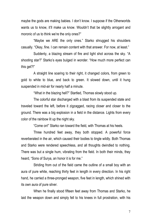maybe the gods are making babies. I don't know. I suppose if the Otherworlds wants us to know, it'll make us know. Wouldn't that be slightly arrogant and moronic of us to think we're the only ones?"

"Maybe we ARE the only ones." Starko shrugged his shoulders casually. "Okay, fine. I can remain content with that answer. For now, at least."

Suddenly, a blazing stream of fire and light shot across the sky. "A shooting star?" Starko's eyes bulged in wonder. "How much more perfect can this get?!"

A straight line soaring to their right, it changed colors, from green to gold to white to blue, and back to green. It slowed down, until it hung suspended in mid-air for nearly half a minute.

"What in the blazing hell?" Startled, Thomas slowly stood up.

The colorful star discharged with a blast from its suspended state and traveled toward the left, before it zigzagged, racing closer and closer to the ground. There was a big explosion in a field in the distance. Lights from every color of the rainbow lit up the night sky.

"Come on!" Starko ran toward the field, with Thomas at his heels.

Three hundred feet away, they both stopped. A powerful force reverberated in the air, which caused their bodies to tingle wildly. Both Thomas and Starko were rendered speechless, and all thoughts dwindled to nothing. There was but a single hum, vibrating from the field. In both their minds, they heard, "Sons of Surya, an honor it is for me."

Striding from out of the field came the outline of a small boy with an aura of pure white, reaching thirty feet in length in every direction. In his right hand, he carried a three-pronged weapon, five feet in length, which shined with its own aura of pure silver.

When he finally stood fifteen feet away from Thomas and Starko, he laid the weapon down and simply fell to his knees in full prostration, with his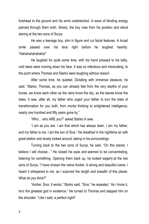forehead to the ground and his arms outstretched. A wave of blinding energy pierced through them both. Slowly, the boy rose from his position and stood staring at the two sons of Surya.

He was a teenage boy, slim in figure and cut facial features. A broad smile passed over his face right before he laughed heartily. "Hahahahahahaha!"

He laughed for quite some time, with his hand pressed to his belly, until tears were running down his face. It was so infectious and intoxicating, to the point where Thomas and Starko were laughing without reason.

After some time, he quieted. Dictating with immense pleasure, he said, "Starko, Thomas, as you can already feel from the very depths of your bones, we know each other as the rains know the sky, as the leaves know the trees. It was, after all, my father who urged your father to turn the tides of transformation for you both, from mortal thinking to enlightened intelligence, nearly one hundred and fifty years gone by."

"Who… who ARE you?" asked Starko in awe.

"I am as you are. I am that which has always been. I am my father, and my father is me. I am the son of Siva." He breathed in the nighttime air with great elation and slowly looked around, taking in his surroundings.

Turning back to the two sons of Surya, he said, "On this planet, I believe I will choose…" He closed his eyes and seemed to be concentrating, listening for something. Opening them back up, he looked eagerly at the two sons of Surya. "I have chosen the name Andrei. A strong and beautiful name, I heard it whispered to me, as I scanned the length and breadth of this planet. What do you think?"

"Andrei. Siva. It works," Starko said. "Siva," he repeated. "As I know it, he's the greatest god in existence." He turned to Thomas and slapped him on the shoulder. "Like I said, a perfect night!"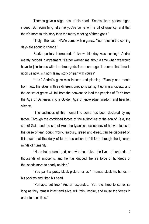Thomas gave a slight bow of his head. "Seems like a perfect night, indeed. But something tells me you've come with a bit of urgency, and that there's more to this story than the merry meeting of three gods."

"Truly, Thomas. I HAVE come with urgency. Your roles in the coming days are about to change."

Starko politely interrupted. "I knew this day was coming." Andrei merely nodded in agreement. "Father warned me about a time when we would have to join forces with the three gods from eons ago. It seems that time is upon us now, is it not? Is my story on par with yours?"

"It is." Andrei's gaze was intense and piercing. "Exactly one month from now, the skies in three different directions will light up in grandiosity, and the deities of grace will fall from the heavens to lead the peoples of Earth from the Age of Darkness into a Golden Age of knowledge, wisdom and heartfelt silence.

"The suchness of this moment to come has been declared by my father. Through the combined forces of the authorities of the son of Kala, the son of Gaia, and the son of Arul, the tyrannical occupancy of he who leads in the guise of fear, doubt, worry, jealousy, greed and dread, can be disposed of. It is such that this deity of terror has arisen in full form through the ignorant minds of humanity.

"He is but a blood god, one who has taken the lives of hundreds of thousands of innocents, and he has dripped the life force of hundreds of thousands more to nearly nothing."

"You paint a pretty bleak picture for us." Thomas stuck his hands in his pockets and tilted his head.

"Perhaps, but true," Andrei responded. "Yet, the three to come, so long as they remain intact and alive, will train, inspire, and rouse the forces in order to annihilate."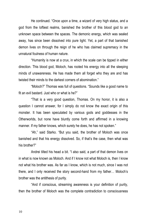He continued. "Once upon a time, a wizard of very high status, and a god from the loftiest realms, banished the brother of this blood god to an unknown space between the spaces. The demonic energy, which was sealed away, has since been dissolved into pure light. Yet, a part of that banished demon lives on through the reign of he who has claimed supremacy in the unnatural foulness of human nature.

"Humanity is now at a crux, in which the scale can be tipped in either direction. This blood god, Moloch, has rooted his energy into all the sleeping minds of unawareness. He has made them all forget who they are and has twisted their minds to the darkest corners of abomination."

"Moloch?" Thomas was full of questions. "Sounds like a good name to fit an evil bastard. Just who or what is he?"

"That is a very good question, Thomas. On my honor, it is also a question I cannot answer, for I simply do not know the exact origin of this monster. It has been speculated by various gods and goddesses in the Otherworlds, but none have bluntly come forth and affirmed in a knowing manner. If my father knows, which surely he does, he has not spoken."

"Ah," said Starko. "But you said, the brother of Moloch was once banished and that his energy dissolved. So, if that's the case, then what was his brother?"

Andrei tilted his head a bit. "I also said, a part of that demon lives on in what is now known as Moloch. And if I know not what Moloch is, then I know not what his brother was. As far as I know, which is not much, since I was not there, and I only received the story second-hand from my father… Moloch's brother was the antithesis of purity.

"And if conscious, streaming awareness is your definition of purity, then the brother of Moloch was the complete contradiction to consciousness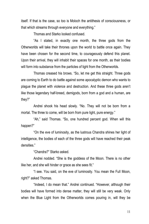itself. If that is the case, so too is Moloch the antithesis of consciousness, or that which streams through everyone and everything."

Thomas and Starko looked confused.

"As I stated, in exactly one month, the three gods from the Otherworlds will take their thrones upon the world to battle once again. They have been chosen for the second time, to courageously defend this planet. Upon their arrival, they will inhabit their spaces for one month, as their bodies will form into substance from the particles of light from the Otherworlds.

Thomas creased his brows. "So, let me get this straight. Three gods are coming to Earth to do battle against some apocalyptic demon who wants to plague the planet with violence and destruction. And these three gods aren't like those legendary half-breed, demigods, born from a god and a human, are they?"

Andrei shook his head slowly. "No. They will not be born from a mortal. The three to come, will be born from pure light, pure energy."

"Ah," said Thomas. "So, one hundred percent god. When will this happen?"

"On the eve of luminosity, as the lustrous Chandra shines her light of intelligence, the bodies of each of the three gods will have reached their peak densities."

"Chandra?" Starko asked.

Andrei nodded. "She is the goddess of the Moon. There is no other like her, and she will hinder or grace as she sees fit."

"I see. You said, on the eve of luminosity. You mean the Full Moon, right?" asked Thomas.

"Indeed, I do mean that." Andrei continued. "However, although their bodies will have formed into dense matter, they will still be very weak. Only when the Blue Light from the Otherworlds comes pouring in, will they be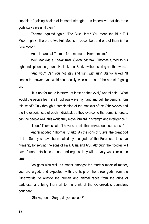capable of gaining bodies of immortal strength. It is imperative that the three gods stay alive until then."

Thomas inquired again. "The Blue Light? You mean the Blue Full Moon, right? There are two Full Moons in December, and one of them is the Blue Moon."

Andrei stared at Thomas for a moment. "Hmmmmmm."

*Well that was a non-answer. Clever bastard.* Thomas turned to his right and spit on the ground. He looked at Starko without saying another word.

"And you? Can you not stay and fight with us?" Starko asked. "It seems the powers you wield could easily wipe out a lot of the bad stuff going on."

"It is not for me to interfere, at least on that level," Andrei said. "What would the people learn if all I did was wave my hand and pull the demons from this world? Only through a combination of the magicks of the Otherworlds and the life experiences of each individual, as they overcome the demonic forces, can the people AND this world truly move forward in strength and intelligence."

"I see," Thomas said. "I have to admit, that makes too much sense."

Andrei nodded. "Thomas. Starko. As the sons of Surya, the great god of the Sun, you have been called by the gods of the Foremost, to serve humanity by serving the sons of Kala, Gaia and Arul. Although their bodies will have formed into bones, blood and organs, they will be very weak for some time.

"As gods who walk as matter amongst the mortals made of matter, you are urged, and expected, with the help of the three gods from the Otherworlds, to wrestle the human and animal races from the grips of darkness, and bring them all to the brink of the Otherworld's boundless boundary.

"Starko, son of Surya, do you accept?"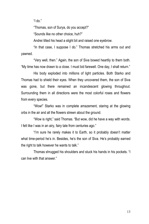"I do."

"Thomas, son of Surya, do you accept?"

"Sounds like no other choice, huh?"

Andrei tilted his head a slight bit and raised one eyebrow.

"In that case, I suppose I do." Thomas stretched his arms out and yawned.

"Very well, then." Again, the son of Siva bowed heartily to them both. "My time has now drawn to a close. I must bid farewell. One day, I shall return."

His body exploded into millions of light particles. Both Starko and Thomas had to shield their eyes. When they uncovered them, the son of Siva was gone, but there remained an incandescent glowing throughout. Surrounding them in all directions were the most colorful roses and flowers from every species.

"Wow!" Starko was in complete amazement, staring at the glowing orbs in the air and all the flowers strewn about the ground.

"Wow is right," said Thomas. "But wow, did he have a way with words. I felt like I was in an airy, fairy tale from centuries ago."

"I'm sure he rarely makes it to Earth, so it probably doesn't matter what time-period he's in. Besides, he's the son of Siva. He's probably earned the right to talk however he wants to talk."

Thomas shrugged his shoulders and stuck his hands in his pockets. "I can live with that answer."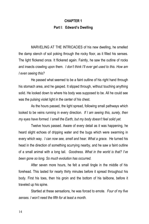### **CHAPTER 1 Part I: Edward's Dwelling**

MARVELING AT THE INTRICACIES of his new dwelling, he smelled the damp stench of soil poking through the rocky floor, as it filled his senses. The light flickered once. It flickered again. Faintly, he saw the outline of rocks and insects crawling upon them. *I don't think I'll ever get used to this. How am I even seeing this?*

He passed what seemed to be a faint outline of his right hand through his stomach area, and he gasped. It slipped through, without touching anything solid. He looked down to where his body was supposed to be. All he could see was the pulsing violet light in the center of his chest.

As the hours passed, the light spread, following small pathways which looked to be veins running in every direction. *If I am seeing this, surely, then my eyes have formed. I smell the Earth, but my body doesn't feel solid yet.*

Twelve hours passed. Aware of every detail as it was happening, he heard slight echoes of dripping water and the bugs which were swarming in every which way. *I can now see, smell and hear. What a grace.* He turned his head in the direction of something scurrying nearby, and he saw a faint outline of a small animal with a long tail. *Goodness. What in the world is that? I've been gone so long. So much evolution has occurred.*

After seven more hours, he felt a small tingle in the middle of his forehead. This lasted for nearly thirty minutes before it spread throughout his body. First his toes, then his groin and the bottom of his tailbone, before it traveled up his spine.

Startled at these sensations, he was forced to emote. *Four of my five senses. I won't need the fifth for at least a month.*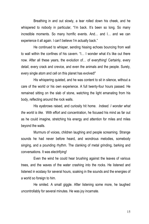Breathing in and out slowly, a tear rolled down his cheek, and he whispered to nobody in particular, "I'm back. It's been so long. So many incredible moments. So many horrific events. And… and I… and we can experience it all again. I can't believe I'm actually back."

He continued to whisper, sending hissing echoes bouncing from wall to wall within the confines of his cavern. "I… I wonder what it's like out there now. After all these years, the evolution of… of everything! Certainly, every detail, every crack and crevice, and even the animals and the people. Surely, every single atom and cell on this planet has evolved!"

His whispering quieted, and he was content to sit in silence, without a care of the world or his own experience. A full twenty-four hours passed. He remained sitting on the slab of stone, watching the light emanating from his body, reflecting around the rock walls.

His eyebrows raised, and curiosity hit home. *Indeed. I wonder what the world is like.* With effort and concentration, he focused his mind as far out as he could imagine, stretching his energy and attention for miles and miles beyond the walls.

Murmurs of voices, children laughing and people screaming. Strange sounds he had never before heard, and wondrous melodies, somebody singing, and a pounding rhythm. The clanking of metal grinding, barking and conversations. It was electrifying!

Even the wind he could hear brushing against the leaves of various trees, and the waves of the water crashing into the rocks. He listened and listened in ecstasy for several hours, soaking in the sounds and the energies of a world so foreign to him.

He smiled. A small giggle. After listening some more, he laughed uncontrollably for several minutes. He was joy incarnate.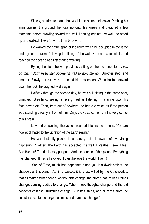Slowly, he tried to stand, but wobbled a bit and fell down. Pushing his arms against the ground, he rose up onto his knees and breathed a few moments before crawling toward the wall. Leaning against the wall, he stood up and walked slowly forward, then backward.

He walked the entire span of the room which he occupied in the large underground cavern, following the lining of the wall. He made a full circle and reached the spot he had first started walking.

Eyeing the stone he was previously sitting on, he took one step. *I can do this. I don't need that god-damn wall to hold me up.* Another step, and another. Slowly but surely, he reached his destination. When he fell forward upon the rock, he laughed wildly again.

Halfway through the second day, he was still sitting in the same spot, unmoved. Breathing, seeing, smelling, feeling, listening. The smile upon his face never left. Then, from out of nowhere, he heard a voice as if the person was standing directly in front of him. Only, the voice came from the very center of his brain.

Low and entrancing, the voice streamed into his awareness. "You are now acclimated to the vibration of the Earth realm."

He was instantly placed in a trance, but still aware of everything happening. "Father! The Earth has accepted me well. I breathe. I see. I feel. And this dirt! The dirt is very pungent. And the sounds of this planet! Everything has changed. It has all evolved. I can't believe the world I live in!"

"Son of Time, much has happened since you last dwelt amidst the shadows of this planet. As time passes, it is a law willed by the Otherworlds, that all matter must change. As thoughts change, the atomic nature of all things change, causing bodies to change. When those thoughts change and the old concepts collapse, structures change. Buildings, trees, and all races, from the tiniest insects to the largest animals and humans, change."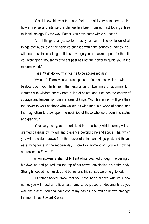"Yes. I knew this was the case. Yet, I am still very astounded to find how immense and intense the change has been from our last footings three millenniums ago. By the way, Father, you have come with a purpose?"

"As all things change, so too must your name. The evolution of all things continues, even the particles encased within the sounds of names. You will need a suitable calling to fit this new age you are tasked upon, for the title you were given thousands of years past has not the power to guide you in the modern world."

"I see. What do you wish for me to be addressed as?"

"My son." There was a grand pause. "Your name, which I wish to bestow upon you, hails from the resonance of two lines of adornment. It vibrates with wisdom energy from a line of saints, and it carries the energy of courage and leadership from a lineage of kings. With this name, I will give thee the power to walk as those who walked as wise men in a world of chaos, and the magnetism to draw upon the nobilities of those who were born into status and grandeur.

"Your very being, as it mortalized into the body which forms, will be granted passage by my will and presence beyond time and space. That which you will be called, draws from the power of saints and kings past, and thrives as a living force in the modern day. From this moment on, you will now be addressed as Edward!"

When spoken, a shaft of brilliant white beamed through the ceiling of his dwelling and poured into the top of his crown, enveloping his entire body. Strength flooded his muscles and bones, and his senses were heightened.

His father added, "Now that you have been aligned with your new name, you will need an official last name to be placed on documents as you walk the planet. You shall take one of my names. You will be known amongst the mortals, as Edward Kronos.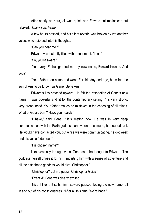After nearly an hour, all was quiet, and Edward sat motionless but relaxed. *Thank you, Father.*

A few hours passed, and his silent reverie was broken by yet another voice, which pierced into his thoughts.

"Can you hear me?"

Edward was instantly filled with amusement. "I can."

"So, you're aware!"

"Yes, very. Father granted me my new name, Edward Kronos. And you?"

"Yes. Father too came and went. For this day and age, he willed the son of Arul to be known as Gene. Gene Arul."

Edward's lips creased upward. He felt the resonation of Gene's new name. It was powerful and fit for the contemporary setting. "It's very strong, very pronounced. Your father makes no mistakes in the choosing of all things. What of Gaia's born? Have you heard?"

"I have," said Gene. "He's resting now. He was in very deep communication with the Earth goddess, and when he came to, he needed rest. He would have contacted you, but while we were communicating, he got weak and his voice faded out."

"His chosen name?"

Like electricity through wires, Gene sent the thought to Edward. "The goddess herself chose it for him, imparting him with a sense of adventure and all the gifts that a goddess would give. Christopher."

"Christopher? Let me guess. Christopher Gaia?"

"Exactly!" Gene was clearly excited.

"Nice. I like it. It suits him." Edward paused, letting the new name roll in and out of his consciousness. "After all this time. We're hack."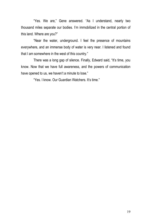"Yes. We are," Gene answered. "As I understand, nearly two thousand miles separate our bodies. I'm immobilized in the central portion of this land. Where are you?"

"Near the water, underground. I feel the presence of mountains everywhere, and an immense body of water is very near. I listened and found that I am somewhere in the west of this country."

There was a long gap of silence. Finally, Edward said, "It's time, you know. Now that we have full awareness, and the powers of communication have opened to us, we haven't a minute to lose."

"Yes. I know. Our Guardian Watchers. It's time."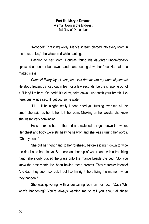**Part II: Mery's Dreams** A small town in the Midwest 1st Day of December

"Nooooo!" Thrashing wildly, Mery's scream pierced into every room in the house. "No," she whispered while panting.

Dashing to her room, Douglas found his daughter uncomfortably sprawled out on her bed, sweat and tears pouring down her face. Her hair in a matted mess.

*Dammit! Everyday this happens. Her dreams are my worst nightmare!* He stood frozen, tranced out in fear for a few seconds, before snapping out of it. "Mery! I'm here! Oh gods! It's okay, calm down. Just catch your breath. Hehere. Just wait a sec. I'll get you some water."

"I'll… I'll be alright, really. I don't need you fussing over me all the time," she said, as her father left the room. Choking on her words, she knew she wasn't very convincing.

He sat next to her on the bed and watched her gulp down the water. Her chest and body were still heaving heavily, and she was slurring her words. "Oh, my head."

She put her right hand to her forehead, before sliding it down to wipe the drool onto her sleeve. She took another sip of water, and with a trembling hand, she slowly placed the glass onto the mantle beside the bed. "So, you know the past month I've been having these dreams. They're freaky intense! And dad, they seem so real. I feel like I'm right there living the moment when they happen."

She was quivering, with a despairing look on her face. "Dad? Whwhat's happening? You're always wanting me to tell you about all these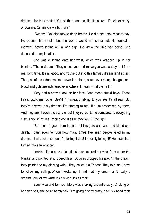dreams, like they matter. You sit there and act like it's all real. I'm either crazy, or you are. Or, maybe we both are!"

"Sweety." Douglas took a deep breath. He did not know what to say. He opened his mouth, but the words would not come out. He tensed a moment, before letting out a long sigh. He knew the time had come. She deserved an explanation.

She was clutching onto her wrist, which was wrapped up in her blanket. "These dreams! They entice you and make you wanna stay in it for a real long time. It's all good, and you're put into this fantasy dream land at first. Then, all of a sudden, you're thrown for a loop, cause everything changes, and blood and guts are splattered everywhere! I mean, what the hell?!"

Mery had a crazed look on her face. "And those stupid boys! Those three, god-damn boys! See?! I'm already talking to you like it's all real! But they're always in my dreams! I'm starting to feel like I'm possessed by them. And they aren't even the scary ones! They're real tame compared to everything else. They shine in all their glory. It's like they WERE the light.

"But then, it goes from them to all this gore and war, and blood and death. I can't even tell you how many times I've seen people killed in my dreams! It all seems so real! I'm losing it dad! I'm really losing it!" Her sobs had turned into a full-out cry.

Looking like a crazed lunatic, she uncovered her wrist from under the blanket and pointed at it. Speechless, Douglas dropped his jaw. "In the dream, they pointed to my glowing wrist. They called it a Trident. They told me I have to follow my calling. When I woke up, I find that my dream ain't really a dream! Look at my wrist! It's glowing! It's all real!"

Eyes wide and terrified, Mery was shaking uncontrollably. Choking on her own spit, she could barely talk. "I'm going bloody crazy, dad. My head feels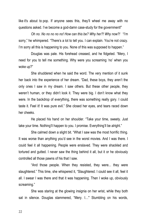like it's about to pop. If anyone sees this, they'll wheel me away with no questions asked. I've become a god-damn case-study for the government!"

*Oh no. No no no no no! How can this be? Why her?! Why now?!* "I'm sorry," he whimpered. "There's a lot to tell you. I can explain. You're not crazy. I'm sorry all this is happening to you. None of this was supposed to happen."

Douglas was pale. His forehead creased, and he fidgeted. "Mery, I need for you to tell me something. Why were you screaming 'no' when you woke up?"

She shuddered when he said the word. The very mention of it sunk her back into the experience of her dream. "Dad, these boys, they aren't the only ones I saw in my dream. I saw others. But these other people, they weren't human, or they didn't look it. They were big. I don't know what they were. In the backdrop of everything, there was something really gory. I could taste it. Feel it! It was pure evil." She closed her eyes, and tears raced down her cheeks.

He placed his hand on her shoulder. "Take your time, sweety. Just take your time. Nothing'll happen to you. I promise. Everything'll be alright."

She calmed down a slight bit. "What I saw was the most horrific thing. It was worse than anything you'd see in the worst movies. And I was there. I could feel it all happening. People were enslaved. They were shackled and tortured and gutted. I never saw the thing behind it all, but it or he obviously controlled all those pawns of his that I saw.

"And those people. When they resisted, they were... they were slaughtered." This time, she whispered it, "Slaughtered. I could see it all, feel it all. I swear I was there and that it was happening. Then I woke up, obviously screaming."

She was staring at the glowing insignia on her wrist, while they both sat in silence. Douglas stammered, "Mery. I…" Stumbling on his words,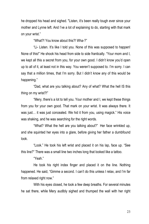he dropped his head and sighed. "Listen, it's been really tough ever since your mother and Lynne left. And I've a lot of explaining to do, starting with that mark on your wrist."

"What?! You know about this?! Wha-?"

"Li- Listen. It's like I told you. None of this was supposed to happen! None of this!" He shook his head from side to side frantically. "Your mom and I, we kept all this a secret from you, for your own good. I didn't know you'd open up to all of it, at least not in this way. You weren't supposed to. I'm sorry. I can say that a million times, that I'm sorry. But I didn't know any of this would be happening."

"Dad, what are you talking about? Any of what? What the hell IS this thing on my wrist?!"

"Mery, there's a lot to tell you. Your mother and I, we kept these things from you for your own good. That mark on your wrist. It was always there. It was just… it was just concealed. We hid it from you, using magick." His voice was shaking, and he was searching for the right words.

"What? What the hell are you talking about?" Her face wrinkled up, and she squinted her eyes into a glare, before giving her father a dumbfound look.

"Look." He took his left wrist and placed it on his lap, face up. "See this line?" There was a small line two inches long that looked like a tattoo.

"Yeah."

He took his right index finger and placed it on the line. Nothing happened. He said, "Gimme a second. I can't do this unless I relax, and I'm far from relaxed right now."

With his eyes closed, he took a few deep breaths. For several minutes he sat there, while Mery audibly sighed and thumped the wall with her right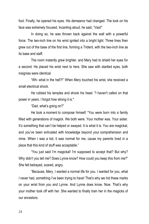foot. Finally, he opened his eyes. His demeanor had changed. The look on his face was extremely focused. Incanting aloud, he said, "Vasi!"

In doing so, he was thrown back against the wall with a powerful force. The two-inch line on his wrist ignited into a bright light. Three lines then grew out of the base of the first line, forming a Trident, with the two-inch line as its base and staff.

The room instantly grew brighter, and Mery had to shield her eyes for a second. He placed his wrist next to hers. She saw with startled eyes, both insignias were identical.

"Wh- what in the hell?!" When Mery touched his wrist, she received a small electrical shock.

He rubbed his temples and shook his head. "I haven't called on that power in years. I forgot how strong it is."

"Dad, what's going on?"

He took a moment to compose himself. "You were born into a family filled with generations of magick. We both were. Your mother was. Your sister. It's something that can't be helped or swayed. It is what it is. You are magickal, and you've been entrusted with knowledge beyond your comprehension and mine. When I was a kid, it was normal for me, cause my parents lived in a place that this kind of stuff was acceptable."

"You just said I'm magickal! I'm supposed to accept that? But why? Why didn't you tell me? Does Lynne know? How could you keep this from me?" She felt betrayed, scared, angry.

"Because, Mery. I wanted a normal life for you. I wanted for you, what I never had, something I've been trying to have! That's why we hid these marks on your wrist from you and Lynne. And Lynne does know. Now. That's why your mother took off with her. She wanted to finally train her in the magicks of our ancestors.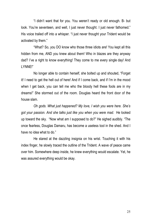"I didn't want that for you. You weren't ready or old enough. B- but look. You're seventeen, and well, I just never thought. I just never fathomed." His voice trailed off into a whisper. "I just never thought your Trident would be activated by them."

"What? So, you DO know who those three idiots are! You kept all this hidden from me, AND you knew about them! Who in blazes are they anyway dad? I've a right to know everything! They come to me every single day! And LYNNE!"

No longer able to contain herself, she bolted up and shouted, "Forget it! I need to get the hell out of here! And if I come back, and if I'm in the mood when I get back, you can tell me who the bloody hell these fools are in my dreams!" She stormed out of the room. Douglas heard the front door of the house slam.

*Oh gods. What just happened? My love, I wish you were here. She's got your passion. And she talks just like you when you were mad.* He looked up toward the sky. "Now what am I supposed to do?" He sighed audibly. "The once fearless, Douglas Damaru, has become a useless tool in the shed. And I have no idea what to do."

He stared at the dazzling insignia on his wrist. Touching it with his index finger, he slowly traced the outline of the Trident. A wave of peace came over him. Somewhere deep inside, he knew everything would escalate. Yet, he was assured everything would be okay.